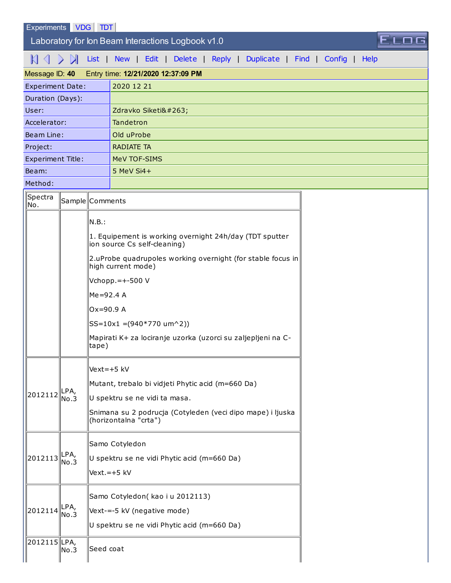| Experiments | <b>VDG</b> | TD ו |
|-------------|------------|------|
|-------------|------------|------|

 $\overline{\phantom{a}}$  Laboratory for Ion Beam Interactions Logbook v1.0

 $\mathbb{K}\subset\mathbb{N}$  [List](http://sim1.zef.irb.hr:8080/Experiments/?id=40) | [New](http://sim1.zef.irb.hr:8080/Experiments/40?cmd=New) | [Edit](http://sim1.zef.irb.hr:8080/Experiments/40?cmd=Edit) | [Delete](http://sim1.zef.irb.hr:8080/Experiments/40?cmd=Delete) | [Reply](http://sim1.zef.irb.hr:8080/Experiments/40?cmd=Reply) | [Duplicate](http://sim1.zef.irb.hr:8080/Experiments/40?cmd=Duplicate) | [Find](http://sim1.zef.irb.hr:8080/Experiments/40?cmd=Find) | [Config](http://sim1.zef.irb.hr:8080/Experiments/40?cmd=Config) | [Help](http://sim1.zef.irb.hr:8080/Experiments/40?cmd=Help)

ELOG

| Message ID: 40                        |                 |            | Entry time: 12/21/2020 12:37:09 PM                                                  |  |
|---------------------------------------|-----------------|------------|-------------------------------------------------------------------------------------|--|
| <b>Experiment Date:</b>               |                 |            | 2020 12 21                                                                          |  |
| Duration (Days):                      |                 |            |                                                                                     |  |
| User:                                 |                 |            | Zdravko Siketić                                                                     |  |
| Accelerator:                          |                 |            | Tandetron                                                                           |  |
| Beam Line:                            |                 |            | Old uProbe                                                                          |  |
| Project:                              |                 |            | <b>RADIATE TA</b>                                                                   |  |
| <b>Experiment Title:</b>              |                 |            | MeV TOF-SIMS                                                                        |  |
| Beam:                                 |                 |            | 5 MeV Si4+                                                                          |  |
| Method:                               |                 |            |                                                                                     |  |
| $\parallel$ Spectra<br>∥No.           | Sample Comments |            |                                                                                     |  |
|                                       |                 | N.B.:      | 1. Equipement is working overnight 24h/day (TDT sputter                             |  |
|                                       |                 |            | ion source Cs self-cleaning)                                                        |  |
|                                       |                 |            | 2.uProbe quadrupoles working overnight (for stable focus in<br>high current mode)   |  |
|                                       |                 |            | Vchopp.=+-500 V                                                                     |  |
|                                       |                 | Me=92.4 A  |                                                                                     |  |
|                                       |                 | Ox=90.9 A  |                                                                                     |  |
|                                       |                 |            | $ SS=10x1 = (940*770 \text{ um}^2)$                                                 |  |
|                                       |                 | tape)      | Mapirati K+ za lociranje uzorka (uzorci su zaljepljeni na C-                        |  |
|                                       |                 | Vext=+5 kV |                                                                                     |  |
|                                       | No.3            |            | Mutant, trebalo bi vidjeti Phytic acid (m=660 Da)                                   |  |
| $\ 2012112\ _{\text{N}}^{\text{LPA}}$ |                 |            | U spektru se ne vidi ta masa.                                                       |  |
|                                       |                 |            | Snimana su 2 podrucja (Cotyleden (veci dipo mape) i ljuska<br>(horizontalna "crta") |  |
|                                       | LPA,<br>No.3    |            | Samo Cotyledon                                                                      |  |
| 2012113                               |                 |            | U spektru se ne vidi Phytic acid (m=660 Da)                                         |  |
|                                       |                 |            | Vext.=+5 kV                                                                         |  |
| 2012114                               | LPA,<br>No.3    |            | Samo Cotyledon(kao i u 2012113)                                                     |  |
|                                       |                 |            | Vext-=-5 kV (negative mode)                                                         |  |
|                                       |                 |            | U spektru se ne vidi Phytic acid (m=660 Da)                                         |  |
| 2012115LPA,                           | No.3            | Seed coat  |                                                                                     |  |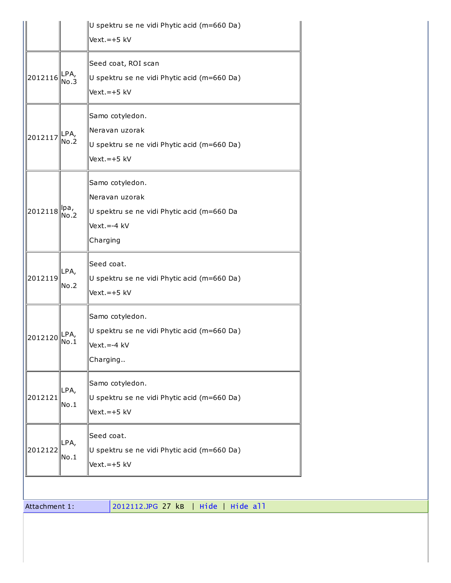|         |              | U spektru se ne vidi Phytic acid (m=660 Da)<br>Vext.=+5 kV                                                 |
|---------|--------------|------------------------------------------------------------------------------------------------------------|
| 2012116 | LPA,<br>No.3 | Seed coat, ROI scan<br>U spektru se ne vidi Phytic acid (m=660 Da)<br>$Vext.=+5$ kV                        |
| 2012117 | LPA,<br>No.2 | Samo cotyledon.<br>Neravan uzorak<br>U spektru se ne vidi Phytic acid (m=660 Da)<br>$Vext.=+5$ kV          |
| 2012118 | Ipa,<br>No.2 | Samo cotyledon.<br>Neravan uzorak<br>U spektru se ne vidi Phytic acid (m=660 Da<br>Vext.=-4 kV<br>Charging |
| 2012119 | LPA,<br>No.2 | Seed coat.<br>U spektru se ne vidi Phytic acid (m=660 Da)<br>$Vext.=+5$ kV                                 |
| 2012120 | LPA,<br>No.1 | Samo cotyledon.<br>U spektru se ne vidi Phytic acid (m=660 Da)<br>Vext.=-4 kV<br>Charging                  |
| 2012121 | LPA,<br>No.1 | Samo cotyledon.<br>U spektru se ne vidi Phytic acid (m=660 Da)<br>$Vext.=+5$ kV                            |
| 2012122 | LPA,<br>No.1 | Seed coat.<br>U spektru se ne vidi Phytic acid (m=660 Da)<br>$Vext.=+5$ kV                                 |

Attachment 1: [2012112.JPG](http://sim1.zef.irb.hr:8080/Experiments/201221_130444/2012112.JPG) 27 kB | [Hide](http://sim1.zef.irb.hr:8080/Experiments/40?hide=0,1,2,3,) | Hide all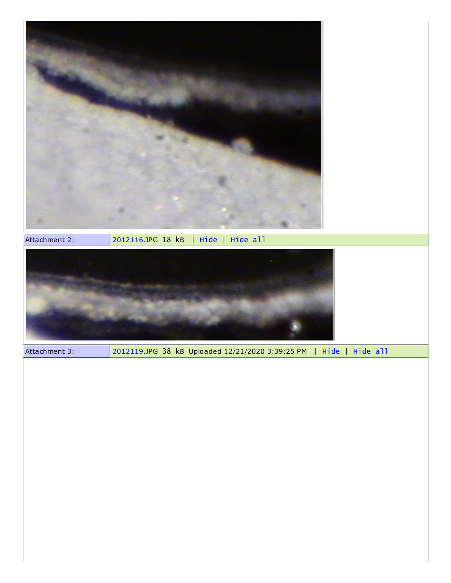

Attachment 2: [2012116.JPG](http://sim1.zef.irb.hr:8080/Experiments/201221_130455/2012116.JPG) 18 kB | [Hide](http://sim1.zef.irb.hr:8080/Experiments/40?hide=0,1,2,3,) | Hide all



Attachment 3: [2012119.JPG](http://sim1.zef.irb.hr:8080/Experiments/201221_153925/2012119.JPG) 38 kB Uploaded 12/21/2020 3:39:25 PM | [Hide](http://sim1.zef.irb.hr:8080/Experiments/40?hide=0,1,2,3,) | Hide all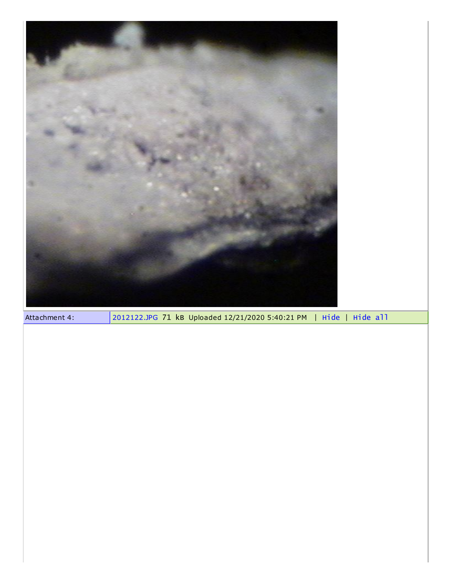| Attachment 4: | 2012122.JPG 71 kB Uploaded 12/21/2020 5:40:21 PM   Hide   Hide all |
|---------------|--------------------------------------------------------------------|
|               |                                                                    |
|               |                                                                    |
|               |                                                                    |
|               |                                                                    |
|               |                                                                    |
|               |                                                                    |
|               |                                                                    |